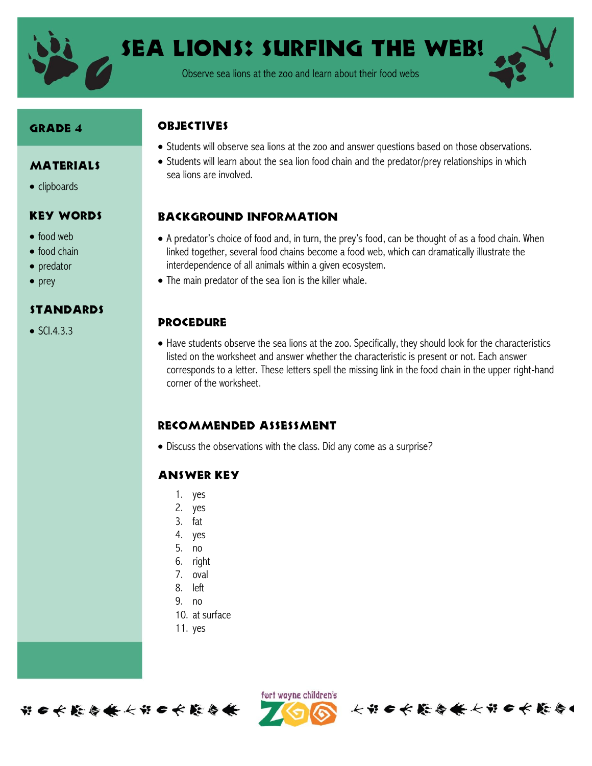

Sea Lions: Surfing the Web!

Observe sea lions at the zoo and learn about their food webs

#### Grade 4

## MATERIALS

• clipboards

### Key Words

- food web
- $\bullet$  food chain
- predator
- $\bullet$  prey

#### Standards

 $\bullet$  SCL4.3.3

## **ORJECTIVES**

- Students will observe sea lions at the zoo and answer questions based on those observations.
- Students will learn about the sea lion food chain and the predator/prey relationships in which sea lions are involved.

## Background information

- A predator's choice of food and, in turn, the prey's food, can be thought of as a food chain. When linked together, several food chains become a food web, which can dramatically illustrate the interdependence of all animals within a given ecosystem.
- The main predator of the sea lion is the killer whale.

#### **PROCEDURE**

 Have students observe the sea lions at the zoo. Specifically, they should look for the characteristics listed on the worksheet and answer whether the characteristic is present or not. Each answer corresponds to a letter. These letters spell the missing link in the food chain in the upper right-hand corner of the worksheet.

#### Recommended assessment

Discuss the observations with the class. Did any come as a surprise?

## Answer Key

- 1. yes
- 2. yes
- 3. fat
- 4. yes
- 5. no
- 6. right
- 7. oval
- 8. left
- 9. no
- 10. at surface
- 11. yes



fort wayne children's

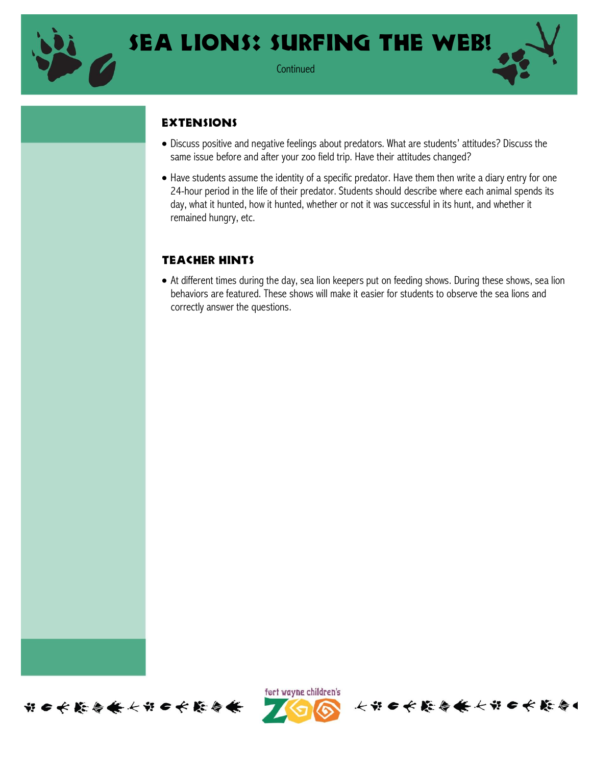

**Continued** 

## **EXTENSIONS**

- Discuss positive and negative feelings about predators. What are students' attitudes? Discuss the same issue before and after your zoo field trip. Have their attitudes changed?
- Have students assume the identity of a specific predator. Have them then write a diary entry for one 24-hour period in the life of their predator. Students should describe where each animal spends its day, what it hunted, how it hunted, whether or not it was successful in its hunt, and whether it remained hungry, etc.

## Teacher Hints

 At different times during the day, sea lion keepers put on feeding shows. During these shows, sea lion behaviors are featured. These shows will make it easier for students to observe the sea lions and correctly answer the questions.





长出口长能昏倦长出口长能昏